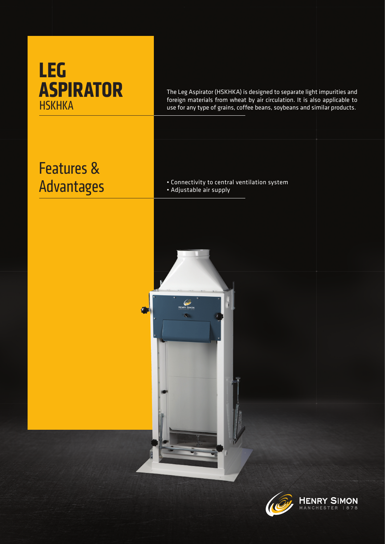## **LEG ASPIRATOR HSKHKA**

The Leg Aspirator (HSKHKA) is designed to separate light impurities and foreign materials from wheat by air circulation. It is also applicable to use for any type of grains, coffee beans, soybeans and similar products.

## Features & Advantages

• Connectivity to central ventilation system • Adjustable air supply

ENRY SIMON